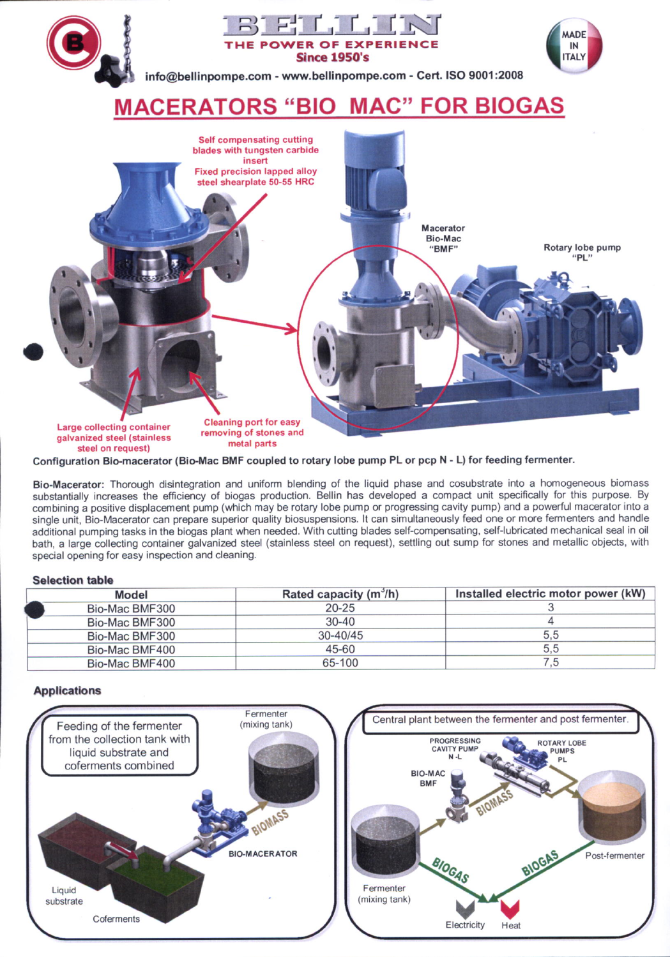

Configuration Bio-macerator (Bio-Mac BMF coupled to rotary lobe pump PL or pcp N - L) for feeding fermenter.

Bio-Macerator: Thorough disintegration and uniform blending of the liquid phase and cosubstrate into a homogeneous biomass substantially increases the efficiency of biogas production. Bellin has developed a compact unit specifically for this purpose. By combining a positive displacement pump (which may be rotary lobe pump or progressing cavity pump) and a powerful macerator into a single unit, Bio-Macerator can prepare superior quality biosuspensions. It can simultaneously feed one or more fermenters and handle additional pumping tasks in the biogas plant when needed. With cutting blades self-compensating, self-lubricated mechanical seal in oil bath, a large collecting container galvanized steel (stainless steel on request), settling out sump for stones and metallic objects, with special opening for easy inspection and cleaning.

## **Selection table**

| Model          | Rated capacity $(m^3/h)$ | Installed electric motor power (kW) |
|----------------|--------------------------|-------------------------------------|
| Bio-Mac BMF300 | $20 - 25$                |                                     |
| Bio-Mac BMF300 | 30-40                    |                                     |
| Bio-Mac BMF300 | $30 - 40/45$             | 5.5                                 |
| Bio-Mac BMF400 | 45-60                    | 5,5                                 |
| Bio-Mac BMF400 | 65-100                   |                                     |

## **Applications**